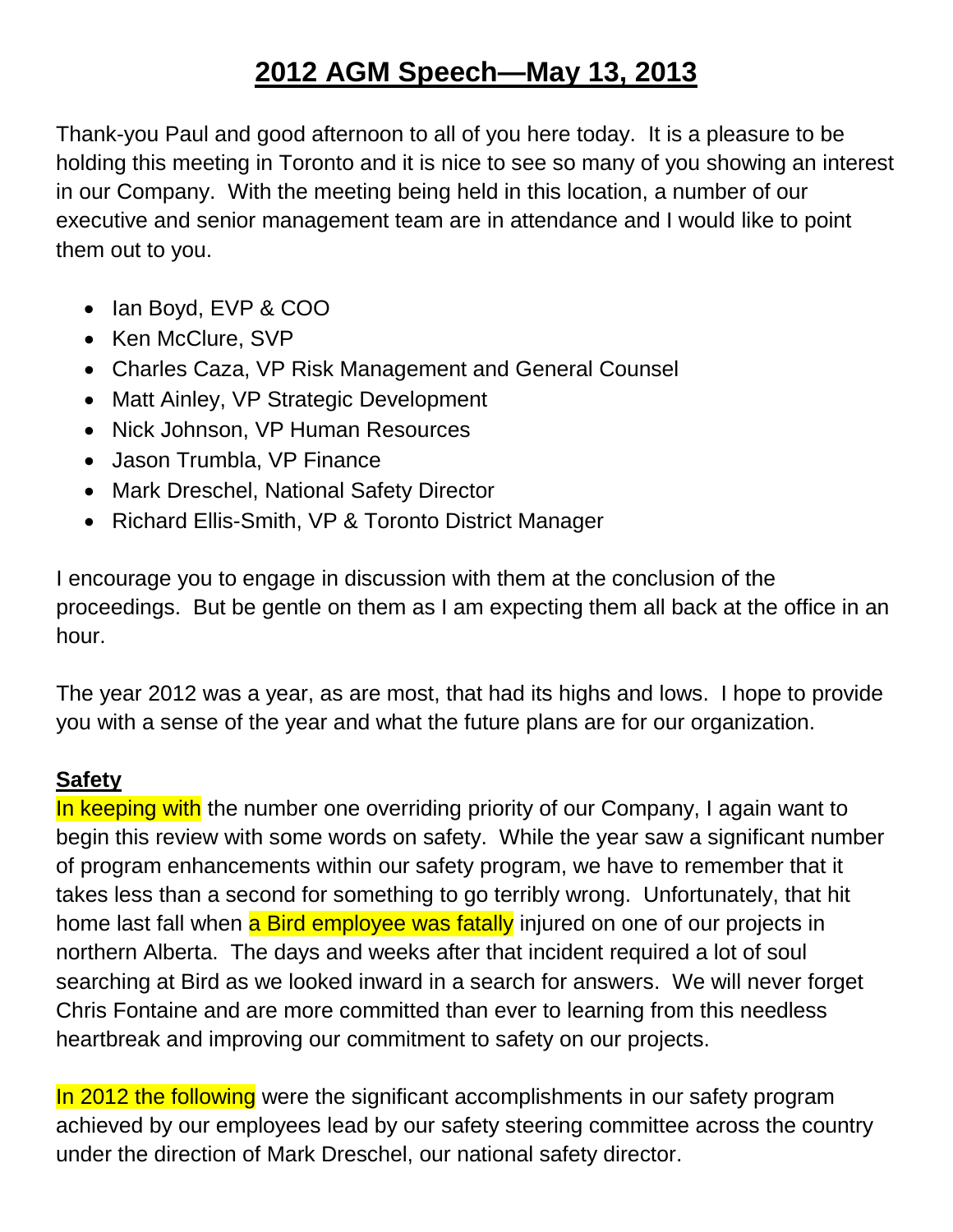# **2012 AGM Speech—May 13, 2013**

Thank-you Paul and good afternoon to all of you here today. It is a pleasure to be holding this meeting in Toronto and it is nice to see so many of you showing an interest in our Company. With the meeting being held in this location, a number of our executive and senior management team are in attendance and I would like to point them out to you.

- Ian Boyd, EVP & COO
- Ken McClure, SVP
- Charles Caza, VP Risk Management and General Counsel
- Matt Ainley, VP Strategic Development
- Nick Johnson, VP Human Resources
- Jason Trumbla, VP Finance
- Mark Dreschel, National Safety Director
- Richard Ellis-Smith, VP & Toronto District Manager

I encourage you to engage in discussion with them at the conclusion of the proceedings. But be gentle on them as I am expecting them all back at the office in an hour.

The year 2012 was a year, as are most, that had its highs and lows. I hope to provide you with a sense of the year and what the future plans are for our organization.

# **Safety**

In keeping with the number one overriding priority of our Company, I again want to begin this review with some words on safety. While the year saw a significant number of program enhancements within our safety program, we have to remember that it takes less than a second for something to go terribly wrong. Unfortunately, that hit home last fall when a Bird employee was fatally injured on one of our projects in northern Alberta. The days and weeks after that incident required a lot of soul searching at Bird as we looked inward in a search for answers. We will never forget Chris Fontaine and are more committed than ever to learning from this needless heartbreak and improving our commitment to safety on our projects.

In 2012 the following were the significant accomplishments in our safety program achieved by our employees lead by our safety steering committee across the country under the direction of Mark Dreschel, our national safety director.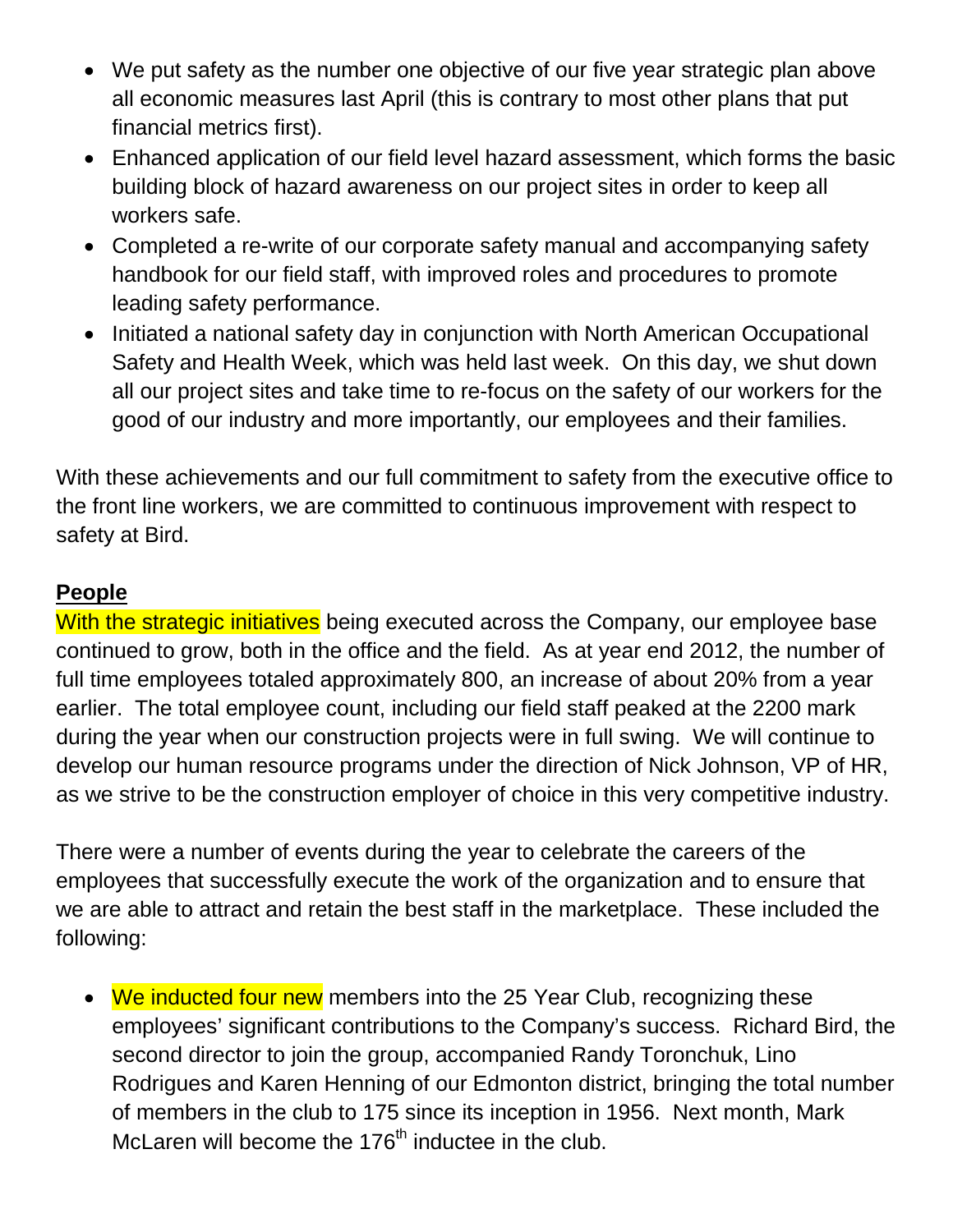- We put safety as the number one objective of our five year strategic plan above all economic measures last April (this is contrary to most other plans that put financial metrics first).
- Enhanced application of our field level hazard assessment, which forms the basic building block of hazard awareness on our project sites in order to keep all workers safe.
- Completed a re-write of our corporate safety manual and accompanying safety handbook for our field staff, with improved roles and procedures to promote leading safety performance.
- Initiated a national safety day in conjunction with North American Occupational Safety and Health Week, which was held last week. On this day, we shut down all our project sites and take time to re-focus on the safety of our workers for the good of our industry and more importantly, our employees and their families.

With these achievements and our full commitment to safety from the executive office to the front line workers, we are committed to continuous improvement with respect to safety at Bird.

## **People**

With the strategic initiatives being executed across the Company, our employee base continued to grow, both in the office and the field. As at year end 2012, the number of full time employees totaled approximately 800, an increase of about 20% from a year earlier. The total employee count, including our field staff peaked at the 2200 mark during the year when our construction projects were in full swing. We will continue to develop our human resource programs under the direction of Nick Johnson, VP of HR, as we strive to be the construction employer of choice in this very competitive industry.

There were a number of events during the year to celebrate the careers of the employees that successfully execute the work of the organization and to ensure that we are able to attract and retain the best staff in the marketplace. These included the following:

• We inducted four new members into the 25 Year Club, recognizing these employees' significant contributions to the Company's success. Richard Bird, the second director to join the group, accompanied Randy Toronchuk, Lino Rodrigues and Karen Henning of our Edmonton district, bringing the total number of members in the club to 175 since its inception in 1956. Next month, Mark McLaren will become the  $176<sup>th</sup>$  inductee in the club.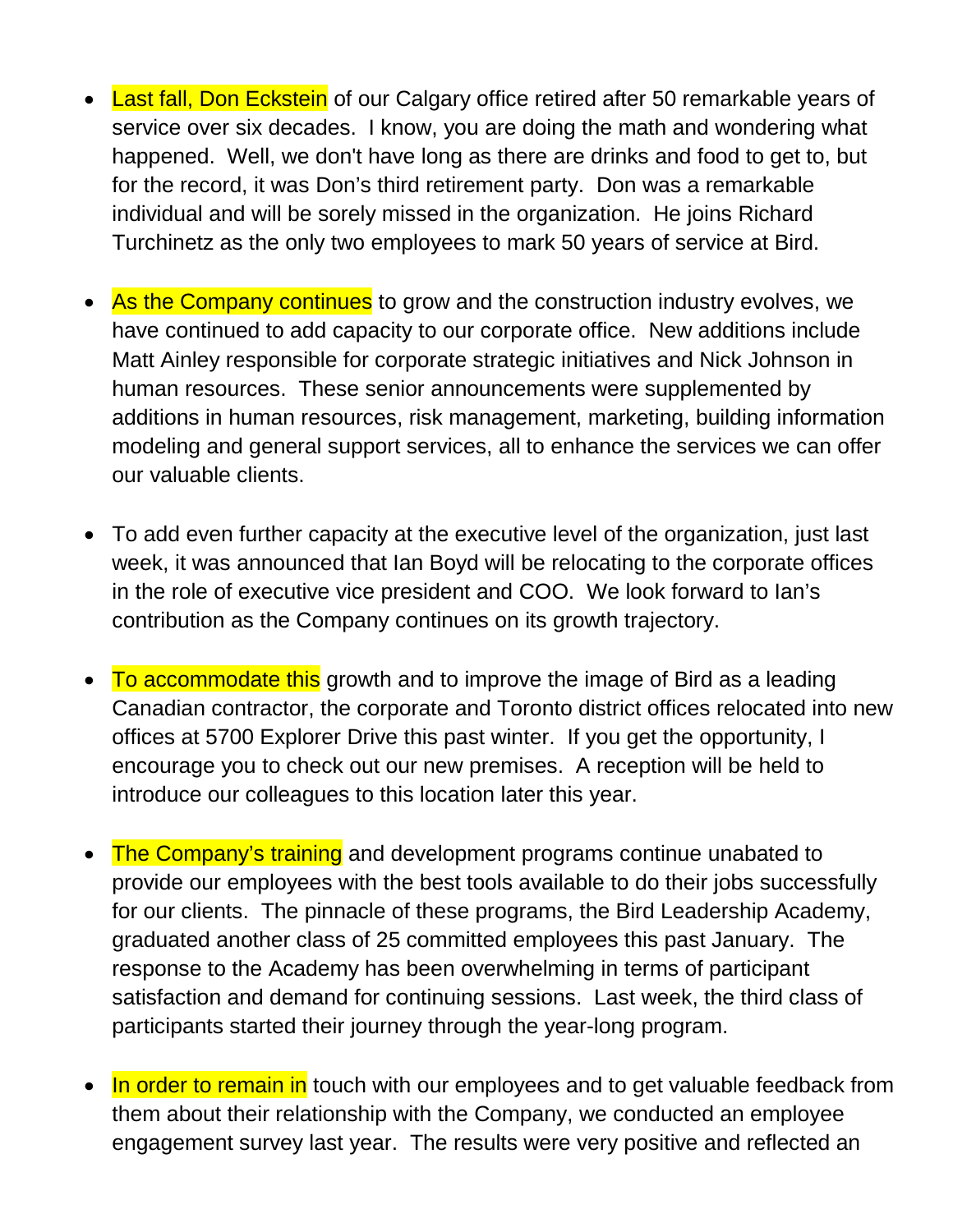- Last fall, Don Eckstein of our Calgary office retired after 50 remarkable years of service over six decades. I know, you are doing the math and wondering what happened. Well, we don't have long as there are drinks and food to get to, but for the record, it was Don's third retirement party. Don was a remarkable individual and will be sorely missed in the organization. He joins Richard Turchinetz as the only two employees to mark 50 years of service at Bird.
- As the Company continues to grow and the construction industry evolves, we have continued to add capacity to our corporate office. New additions include Matt Ainley responsible for corporate strategic initiatives and Nick Johnson in human resources. These senior announcements were supplemented by additions in human resources, risk management, marketing, building information modeling and general support services, all to enhance the services we can offer our valuable clients.
- To add even further capacity at the executive level of the organization, just last week, it was announced that Ian Boyd will be relocating to the corporate offices in the role of executive vice president and COO. We look forward to Ian's contribution as the Company continues on its growth trajectory.
- To accommodate this growth and to improve the image of Bird as a leading Canadian contractor, the corporate and Toronto district offices relocated into new offices at 5700 Explorer Drive this past winter. If you get the opportunity, I encourage you to check out our new premises. A reception will be held to introduce our colleagues to this location later this year.
- The Company's training and development programs continue unabated to provide our employees with the best tools available to do their jobs successfully for our clients. The pinnacle of these programs, the Bird Leadership Academy, graduated another class of 25 committed employees this past January. The response to the Academy has been overwhelming in terms of participant satisfaction and demand for continuing sessions. Last week, the third class of participants started their journey through the year-long program.
- In order to remain in touch with our employees and to get valuable feedback from them about their relationship with the Company, we conducted an employee engagement survey last year. The results were very positive and reflected an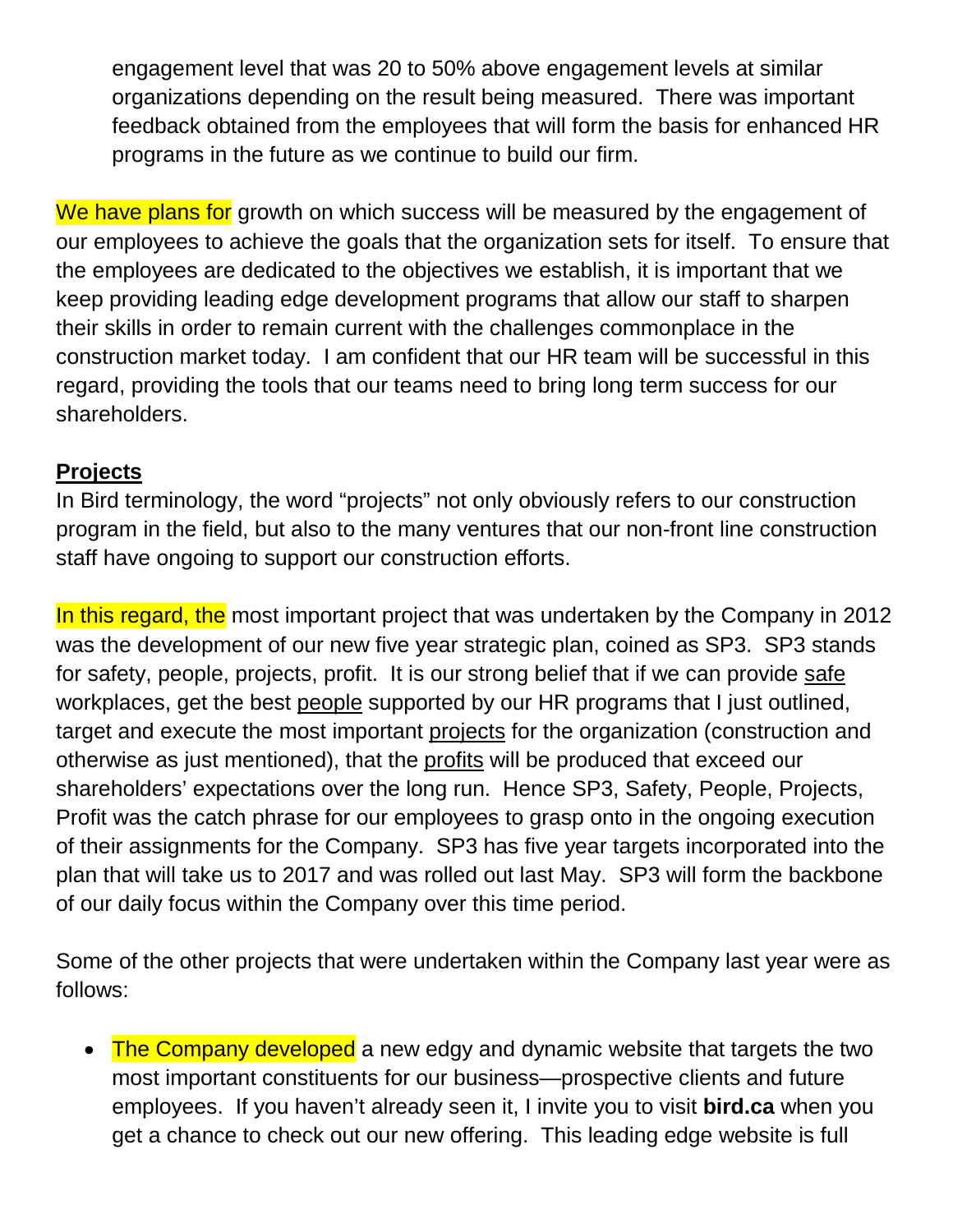engagement level that was 20 to 50% above engagement levels at similar organizations depending on the result being measured. There was important feedback obtained from the employees that will form the basis for enhanced HR programs in the future as we continue to build our firm.

We have plans for growth on which success will be measured by the engagement of our employees to achieve the goals that the organization sets for itself. To ensure that the employees are dedicated to the objectives we establish, it is important that we keep providing leading edge development programs that allow our staff to sharpen their skills in order to remain current with the challenges commonplace in the construction market today. I am confident that our HR team will be successful in this regard, providing the tools that our teams need to bring long term success for our shareholders.

### **Projects**

In Bird terminology, the word "projects" not only obviously refers to our construction program in the field, but also to the many ventures that our non-front line construction staff have ongoing to support our construction efforts.

In this regard, the most important project that was undertaken by the Company in 2012 was the development of our new five year strategic plan, coined as SP3. SP3 stands for safety, people, projects, profit. It is our strong belief that if we can provide safe workplaces, get the best people supported by our HR programs that I just outlined, target and execute the most important projects for the organization (construction and otherwise as just mentioned), that the profits will be produced that exceed our shareholders' expectations over the long run. Hence SP3, Safety, People, Projects, Profit was the catch phrase for our employees to grasp onto in the ongoing execution of their assignments for the Company. SP3 has five year targets incorporated into the plan that will take us to 2017 and was rolled out last May. SP3 will form the backbone of our daily focus within the Company over this time period.

Some of the other projects that were undertaken within the Company last year were as follows:

• The Company developed a new edgy and dynamic website that targets the two most important constituents for our business—prospective clients and future employees. If you haven't already seen it, I invite you to visit **bird.ca** when you get a chance to check out our new offering. This leading edge website is full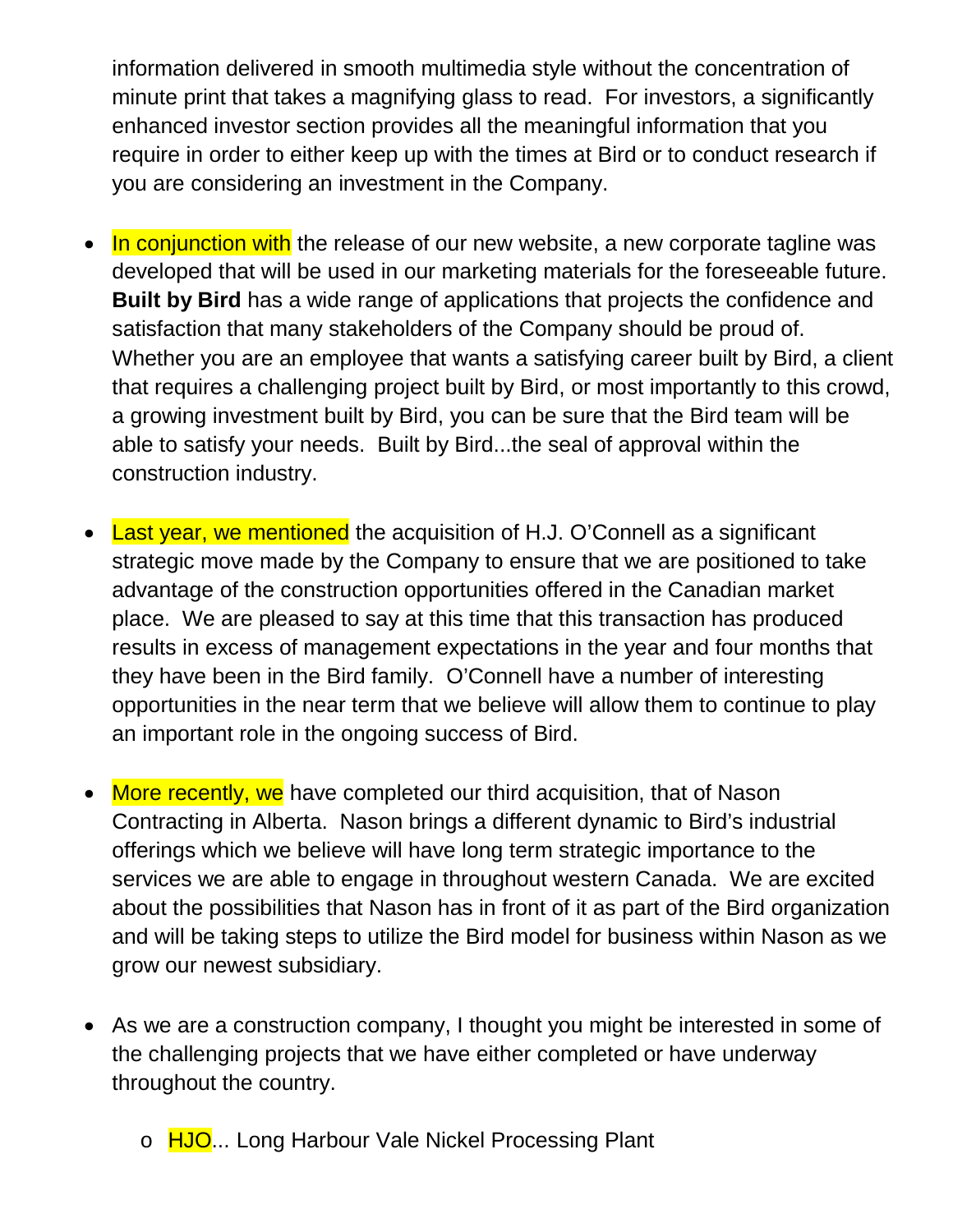information delivered in smooth multimedia style without the concentration of minute print that takes a magnifying glass to read. For investors, a significantly enhanced investor section provides all the meaningful information that you require in order to either keep up with the times at Bird or to conduct research if you are considering an investment in the Company.

- In conjunction with the release of our new website, a new corporate tagline was developed that will be used in our marketing materials for the foreseeable future. **Built by Bird** has a wide range of applications that projects the confidence and satisfaction that many stakeholders of the Company should be proud of. Whether you are an employee that wants a satisfying career built by Bird, a client that requires a challenging project built by Bird, or most importantly to this crowd, a growing investment built by Bird, you can be sure that the Bird team will be able to satisfy your needs. Built by Bird...the seal of approval within the construction industry.
- Last year, we mentioned the acquisition of H.J. O'Connell as a significant strategic move made by the Company to ensure that we are positioned to take advantage of the construction opportunities offered in the Canadian market place. We are pleased to say at this time that this transaction has produced results in excess of management expectations in the year and four months that they have been in the Bird family. O'Connell have a number of interesting opportunities in the near term that we believe will allow them to continue to play an important role in the ongoing success of Bird.
- More recently, we have completed our third acquisition, that of Nason Contracting in Alberta. Nason brings a different dynamic to Bird's industrial offerings which we believe will have long term strategic importance to the services we are able to engage in throughout western Canada. We are excited about the possibilities that Nason has in front of it as part of the Bird organization and will be taking steps to utilize the Bird model for business within Nason as we grow our newest subsidiary.
- As we are a construction company, I thought you might be interested in some of the challenging projects that we have either completed or have underway throughout the country.
	- o HJO... Long Harbour Vale Nickel Processing Plant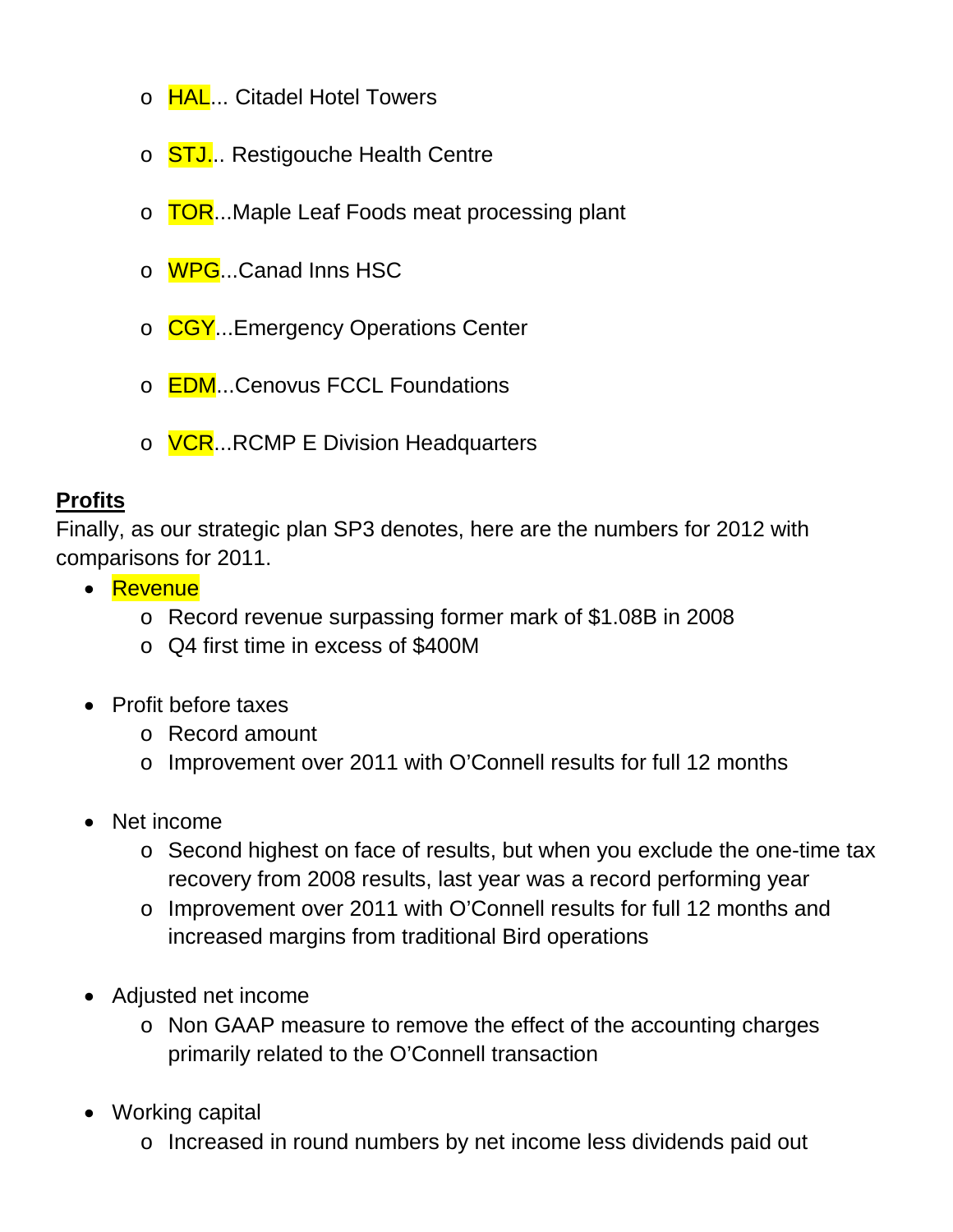- o **HAL... Citadel Hotel Towers**
- o STJ... Restigouche Health Centre
- o **TOR**...Maple Leaf Foods meat processing plant
- o WPG...Canad Inns HSC
- o CGY...Emergency Operations Center
- o **EDM...Cenovus FCCL Foundations**
- o **VCR**...RCMP E Division Headquarters

### **Profits**

Finally, as our strategic plan SP3 denotes, here are the numbers for 2012 with comparisons for 2011.

- Revenue
	- o Record revenue surpassing former mark of \$1.08B in 2008
	- o Q4 first time in excess of \$400M
- Profit before taxes
	- o Record amount
	- o Improvement over 2011 with O'Connell results for full 12 months
- Net income
	- o Second highest on face of results, but when you exclude the one-time tax recovery from 2008 results, last year was a record performing year
	- o Improvement over 2011 with O'Connell results for full 12 months and increased margins from traditional Bird operations
- Adjusted net income
	- o Non GAAP measure to remove the effect of the accounting charges primarily related to the O'Connell transaction
- Working capital
	- o Increased in round numbers by net income less dividends paid out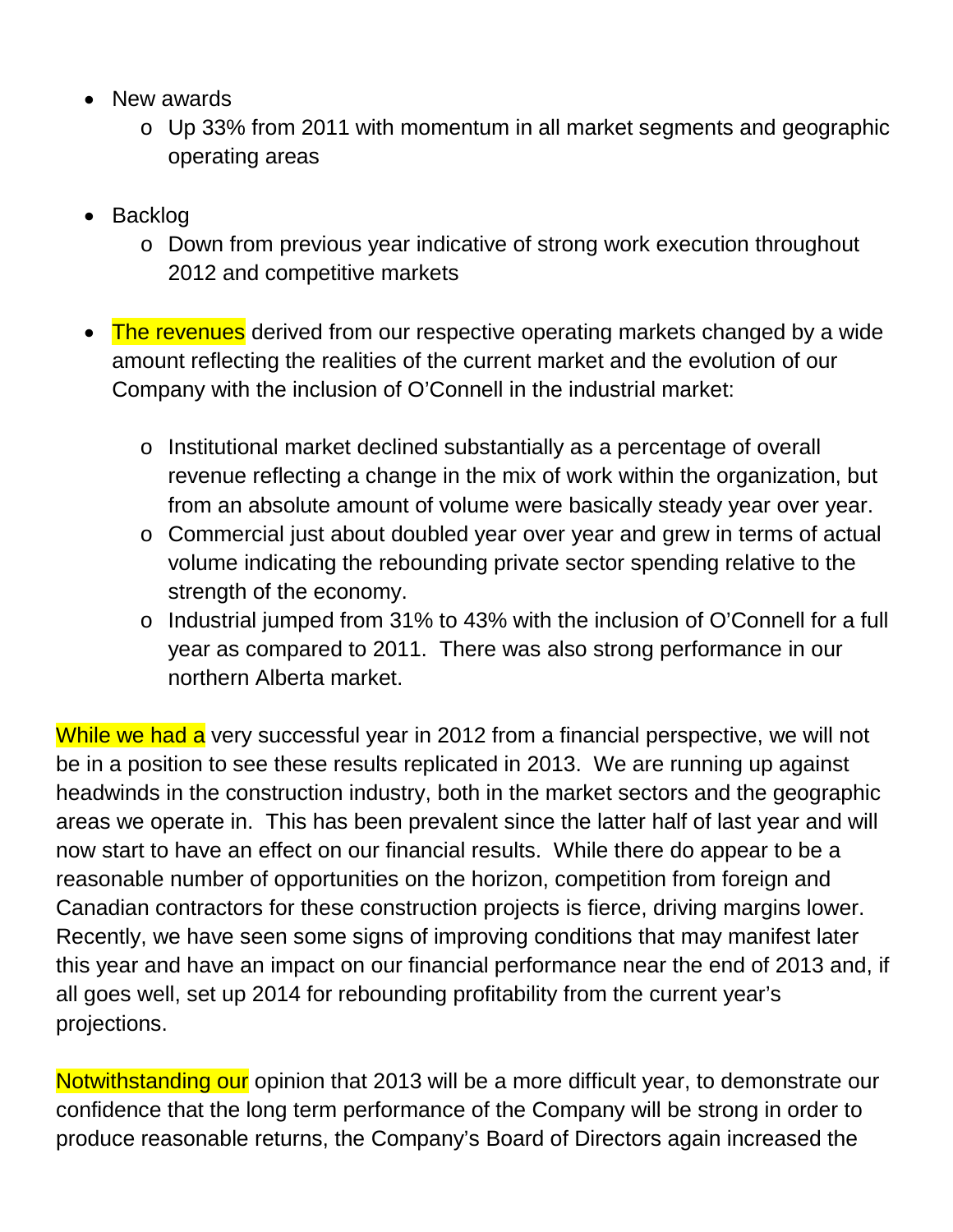- New awards
	- o Up 33% from 2011 with momentum in all market segments and geographic operating areas
- Backlog
	- o Down from previous year indicative of strong work execution throughout 2012 and competitive markets
- The revenues derived from our respective operating markets changed by a wide amount reflecting the realities of the current market and the evolution of our Company with the inclusion of O'Connell in the industrial market:
	- o Institutional market declined substantially as a percentage of overall revenue reflecting a change in the mix of work within the organization, but from an absolute amount of volume were basically steady year over year.
	- o Commercial just about doubled year over year and grew in terms of actual volume indicating the rebounding private sector spending relative to the strength of the economy.
	- o Industrial jumped from 31% to 43% with the inclusion of O'Connell for a full year as compared to 2011. There was also strong performance in our northern Alberta market.

While we had a very successful year in 2012 from a financial perspective, we will not be in a position to see these results replicated in 2013. We are running up against headwinds in the construction industry, both in the market sectors and the geographic areas we operate in. This has been prevalent since the latter half of last year and will now start to have an effect on our financial results. While there do appear to be a reasonable number of opportunities on the horizon, competition from foreign and Canadian contractors for these construction projects is fierce, driving margins lower. Recently, we have seen some signs of improving conditions that may manifest later this year and have an impact on our financial performance near the end of 2013 and, if all goes well, set up 2014 for rebounding profitability from the current year's projections.

Notwithstanding our opinion that 2013 will be a more difficult year, to demonstrate our confidence that the long term performance of the Company will be strong in order to produce reasonable returns, the Company's Board of Directors again increased the